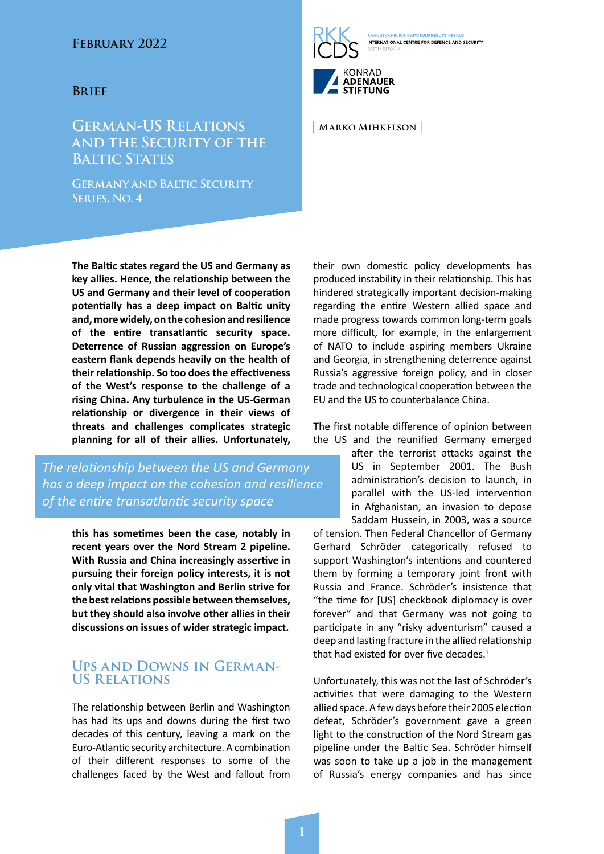#### **Brief**

# **German-US Relations and the Security of the BALTIC STATES**

**Germany and Baltic Security Series, No. 4**

**The Baltic states regard the US and Germany as key allies. Hence, the relationship between the US and Germany and their level of cooperation potentially has a deep impact on Baltic unity and, more widely, on the cohesion and resilience of the entire transatlantic security space. Deterrence of Russian aggression on Europe's eastern flank depends heavily on the health of their relationship. So too does the effectiveness of the West's response to the challenge of a rising China. Any turbulence in the US-German relationship or divergence in their views of threats and challenges complicates strategic planning for all of their allies. Unfortunately,** 

*The relationship between the US and Germany has a deep impact on the cohesion and resilience of the entire transatlantic security space*

> **this has sometimes been the case, notably in recent years over the Nord Stream 2 pipeline. With Russia and China increasingly assertive in pursuing their foreign policy interests, it is not only vital that Washington and Berlin strive for the best relations possible between themselves, but they should also involve other allies in their discussions on issues of wider strategic impact.**

### **Ups and Downs in German-US Relations**

The relationship between Berlin and Washington has had its ups and downs during the first two decades of this century, leaving a mark on the Euro-Atlantic security architecture. A combination of their different responses to some of the challenges faced by the West and fallout from

AHELINE KAITSELIUPINGUTE KESKUS **INTERNATIONAL CENTRE FOR DEFENCE AND SECURITY** KONRAD

**| Marko Mihkelson |**

**ADENAUER** STIFTUNG

their own domestic policy developments has produced instability in their relationship. This has hindered strategically important decision-making regarding the entire Western allied space and made progress towards common long-term goals more difficult, for example, in the enlargement of NATO to include aspiring members Ukraine and Georgia, in strengthening deterrence against Russia's aggressive foreign policy, and in closer trade and technological cooperation between the EU and the US to counterbalance China.

The first notable difference of opinion between the US and the reunified Germany emerged

> after the terrorist attacks against the US in September 2001. The Bush administration's decision to launch, in parallel with the US-led intervention in Afghanistan, an invasion to depose Saddam Hussein, in 2003, was a source

of tension. Then Federal Chancellor of Germany Gerhard Schröder categorically refused to support Washington's intentions and countered them by forming a temporary joint front with Russia and France. Schröder's insistence that "the time for [US] checkbook diplomacy is over forever" and that Germany was not going to participate in any "risky adventurism" caused a deep and lasting fracture in the allied relationship that had existed for over five decades. $1$ 

Unfortunately, this was not the last of Schröder's activities that were damaging to the Western allied space. A few days before their 2005 election defeat, Schröder's government gave a green light to the construction of the Nord Stream gas pipeline under the Baltic Sea. Schröder himself was soon to take up a job in the management of Russia's energy companies and has since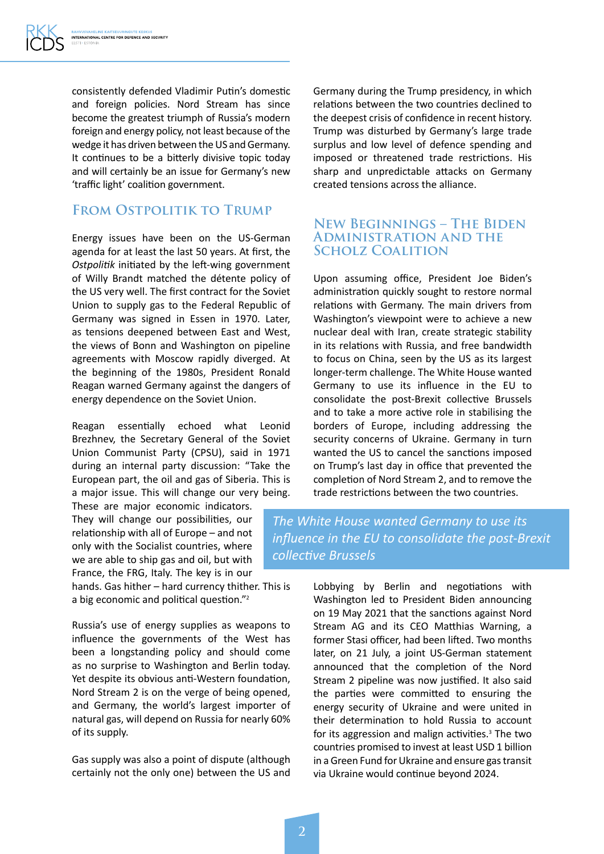consistently defended Vladimir Putin's domestic and foreign policies. Nord Stream has since become the greatest triumph of Russia's modern foreign and energy policy, not least because of the wedge it has driven between the US and Germany. It continues to be a bitterly divisive topic today and will certainly be an issue for Germany's new 'traffic light' coalition government.

## **From Ostpolitik to Trump**

Energy issues have been on the US-German agenda for at least the last 50 years. At first, the *Ostpolitik* initiated by the left-wing government of Willy Brandt matched the détente policy of the US very well. The first contract for the Soviet Union to supply gas to the Federal Republic of Germany was signed in Essen in 1970. Later, as tensions deepened between East and West, the views of Bonn and Washington on pipeline agreements with Moscow rapidly diverged. At the beginning of the 1980s, President Ronald Reagan warned Germany against the dangers of energy dependence on the Soviet Union.

Reagan essentially echoed what Leonid Brezhnev, the Secretary General of the Soviet Union Communist Party (CPSU), said in 1971 during an internal party discussion: "Take the European part, the oil and gas of Siberia. This is a major issue. This will change our very being.

These are major economic indicators. They will change our possibilities, our relationship with all of Europe – and not only with the Socialist countries, where we are able to ship gas and oil, but with France, the FRG, Italy. The key is in our

hands. Gas hither – hard currency thither. This is a big economic and political question."2

Russia's use of energy supplies as weapons to influence the governments of the West has been a longstanding policy and should come as no surprise to Washington and Berlin today. Yet despite its obvious anti-Western foundation, Nord Stream 2 is on the verge of being opened, and Germany, the world's largest importer of natural gas, will depend on Russia for nearly 60% of its supply.

Gas supply was also a point of dispute (although certainly not the only one) between the US and

Germany during the Trump presidency, in which relations between the two countries declined to the deepest crisis of confidence in recent history. Trump was disturbed by Germany's large trade surplus and low level of defence spending and imposed or threatened trade restrictions. His sharp and unpredictable attacks on Germany created tensions across the alliance.

### **New Beginnings – The Biden Administration and the Scholz Coalition**

Upon assuming office, President Joe Biden's administration quickly sought to restore normal relations with Germany. The main drivers from Washington's viewpoint were to achieve a new nuclear deal with Iran, create strategic stability in its relations with Russia, and free bandwidth to focus on China, seen by the US as its largest longer-term challenge. The White House wanted Germany to use its influence in the EU to consolidate the post-Brexit collective Brussels and to take a more active role in stabilising the borders of Europe, including addressing the security concerns of Ukraine. Germany in turn wanted the US to cancel the sanctions imposed on Trump's last day in office that prevented the completion of Nord Stream 2, and to remove the trade restrictions between the two countries.

*The White House wanted Germany to use its influence in the EU to consolidate the post-Brexit collective Brussels*

> Lobbying by Berlin and negotiations with Washington led to President Biden announcing on 19 May 2021 that the sanctions against Nord Stream AG and its CEO Matthias Warning, a former Stasi officer, had been lifted. Two months later, on 21 July, a joint US-German statement announced that the completion of the Nord Stream 2 pipeline was now justified. It also said the parties were committed to ensuring the energy security of Ukraine and were united in their determination to hold Russia to account for its aggression and malign activities.<sup>3</sup> The two countries promised to invest at least USD 1 billion in a Green Fund for Ukraine and ensure gas transit via Ukraine would continue beyond 2024.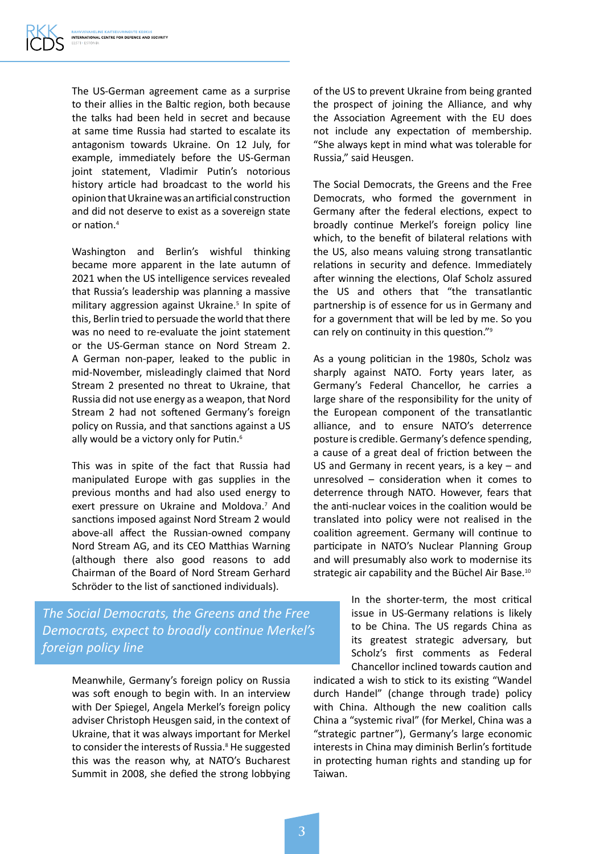The US-German agreement came as a surprise to their allies in the Baltic region, both because the talks had been held in secret and because at same time Russia had started to escalate its antagonism towards Ukraine. On 12 July, for example, immediately before the US-German joint statement, Vladimir Putin's notorious history article had broadcast to the world his opinion that Ukraine was an artificial construction and did not deserve to exist as a sovereign state or nation.4

Washington and Berlin's wishful thinking became more apparent in the late autumn of 2021 when the US intelligence services revealed that Russia's leadership was planning a massive military aggression against Ukraine.<sup>5</sup> In spite of this, Berlin tried to persuade the world that there was no need to re-evaluate the joint statement or the US-German stance on Nord Stream 2. A German non-paper, leaked to the public in mid-November, misleadingly claimed that Nord Stream 2 presented no threat to Ukraine, that Russia did not use energy as a weapon, that Nord Stream 2 had not softened Germany's foreign policy on Russia, and that sanctions against a US ally would be a victory only for Putin.<sup>6</sup>

This was in spite of the fact that Russia had manipulated Europe with gas supplies in the previous months and had also used energy to exert pressure on Ukraine and Moldova.<sup>7</sup> And sanctions imposed against Nord Stream 2 would above-all affect the Russian-owned company Nord Stream AG, and its CEO Matthias Warning (although there also good reasons to add Chairman of the Board of Nord Stream Gerhard Schröder to the list of sanctioned individuals).

*The Social Democrats, the Greens and the Free Democrats, expect to broadly continue Merkel's foreign policy line* 

> Meanwhile, Germany's foreign policy on Russia was soft enough to begin with. In an interview with Der Spiegel, Angela Merkel's foreign policy adviser Christoph Heusgen said, in the context of Ukraine, that it was always important for Merkel to consider the interests of Russia.<sup>8</sup> He suggested this was the reason why, at NATO's Bucharest Summit in 2008, she defied the strong lobbying

of the US to prevent Ukraine from being granted the prospect of joining the Alliance, and why the Association Agreement with the EU does not include any expectation of membership. "She always kept in mind what was tolerable for Russia," said Heusgen.

The Social Democrats, the Greens and the Free Democrats, who formed the government in Germany after the federal elections, expect to broadly continue Merkel's foreign policy line which, to the benefit of bilateral relations with the US, also means valuing strong transatlantic relations in security and defence. Immediately after winning the elections, Olaf Scholz assured the US and others that "the transatlantic partnership is of essence for us in Germany and for a government that will be led by me. So you can rely on continuity in this question."9

As a young politician in the 1980s, Scholz was sharply against NATO. Forty years later, as Germany's Federal Chancellor, he carries a large share of the responsibility for the unity of the European component of the transatlantic alliance, and to ensure NATO's deterrence posture is credible. Germany's defence spending, a cause of a great deal of friction between the US and Germany in recent years, is a key – and unresolved – consideration when it comes to deterrence through NATO. However, fears that the anti-nuclear voices in the coalition would be translated into policy were not realised in the coalition agreement. Germany will continue to participate in NATO's Nuclear Planning Group and will presumably also work to modernise its strategic air capability and the Büchel Air Base.<sup>10</sup>

> In the shorter-term, the most critical issue in US-Germany relations is likely to be China. The US regards China as its greatest strategic adversary, but Scholz's first comments as Federal Chancellor inclined towards caution and

indicated a wish to stick to its existing "Wandel durch Handel" (change through trade) policy with China. Although the new coalition calls China a "systemic rival" (for Merkel, China was a "strategic partner"), Germany's large economic interests in China may diminish Berlin's fortitude in protecting human rights and standing up for Taiwan.